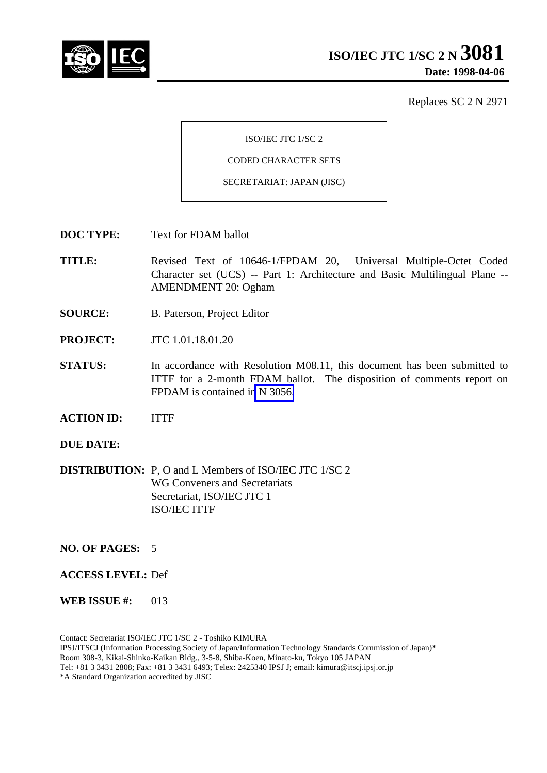

Replaces SC 2 N 2971

ISO/IEC JTC 1/SC 2

CODED CHARACTER SETS

SECRETARIAT: JAPAN (JISC)

**DOC TYPE:** Text for FDAM ballot

**TITLE:** Revised Text of 10646-1/FPDAM 20, Universal Multiple-Octet Coded Character set (UCS) -- Part 1: Architecture and Basic Multilingual Plane -- AMENDMENT 20: Ogham

- **SOURCE:** B. Paterson, Project Editor
- **PROJECT:** JTC 1.01.18.01.20
- **STATUS:** In accordance with Resolution M08.11, this document has been submitted to ITTF for a 2-month FDAM ballot. The disposition of comments report on FPDAM is contained in N 3056.
- **ACTION ID:** ITTF
- **DUE DATE:**
- **DISTRIBUTION:** P, O and L Members of ISO/IEC JTC 1/SC 2 WG Conveners and Secretariats Secretariat, ISO/IEC JTC 1 ISO/IEC ITTF
- **NO. OF PAGES:** 5
- **ACCESS LEVEL:** Def
- **WEB ISSUE #:** 013

Contact: Secretariat ISO/IEC JTC 1/SC 2 - Toshiko KIMURA IPSJ/ITSCJ (Information Processing Society of Japan/Information Technology Standards Commission of Japan)\* Room 308-3, Kikai-Shinko-Kaikan Bldg., 3-5-8, Shiba-Koen, Minato-ku, Tokyo 105 JAPAN Tel: +81 3 3431 2808; Fax: +81 3 3431 6493; Telex: 2425340 IPSJ J; email: kimura@itscj.ipsj.or.jp \*A Standard Organization accredited by JISC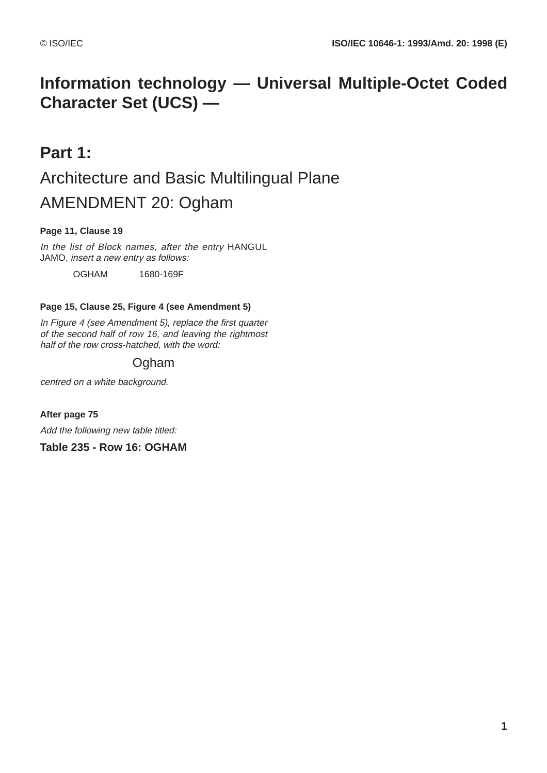# **Information technology — Universal Multiple-Octet Coded Character Set (UCS) —**

# **Part 1:** Architecture and Basic Multilingual Plane AMENDMENT 20: Ogham

## **Page 11, Clause 19**

In the list of Block names, after the entry HANGUL JAMO, insert a new entry as follows:

OGHAM 1680-169F

### **Page 15, Clause 25, Figure 4 (see Amendment 5)**

In Figure 4 (see Amendment 5), replace the first quarter of the second half of row 16, and leaving the rightmost half of the row cross-hatched, with the word:

# Ogham

centred on a white background.

**After page 75** Add the following new table titled:

**Table 235 - Row 16: OGHAM**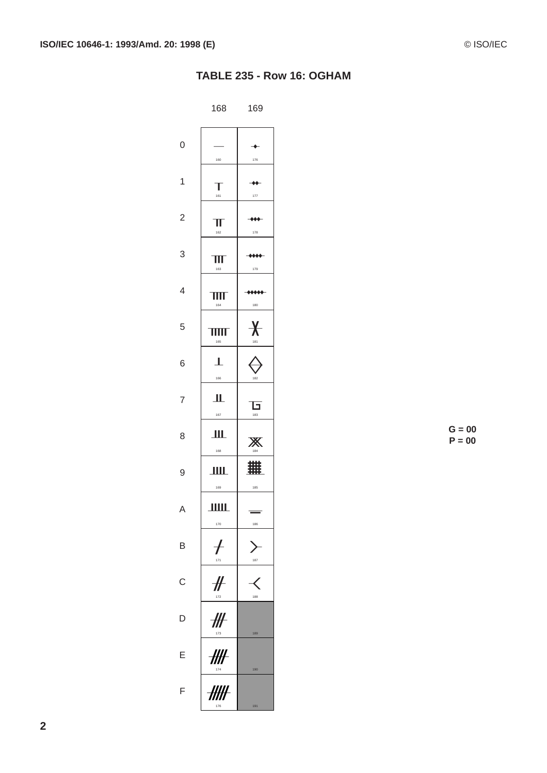## TABLE 235 - Row 16: OGHAM

|                | 168                     | 169                |
|----------------|-------------------------|--------------------|
| 0              | 160                     | 176                |
| 1              | 161                     | 177                |
| $\overline{c}$ | IJ<br>162               | 178                |
| 3              | 163                     | 179                |
| 4              | 164                     | 180                |
| 5              | П<br>I<br>ı<br>Ι<br>165 | X-<br>181          |
| 6              | ı<br>166                | 182                |
| 7              | Ш<br>167                | f<br>ı<br>ı<br>183 |
| 8              | 168                     | Χ<br>184           |
| 9              | 169                     | 難<br>185           |
| A              | <u>IIIII.</u><br>170    | ٠<br>186           |
| B              | ┟<br>171                | 187                |
| $\mathsf{C}$   | #<br>172                | Ç<br>188           |
| D              | ╫<br>173                | 189                |
| Ε              | ₩⊦<br>174               | 190                |
| F              | ##<br>176               | 191                |

 $G = 00$  $P = 00$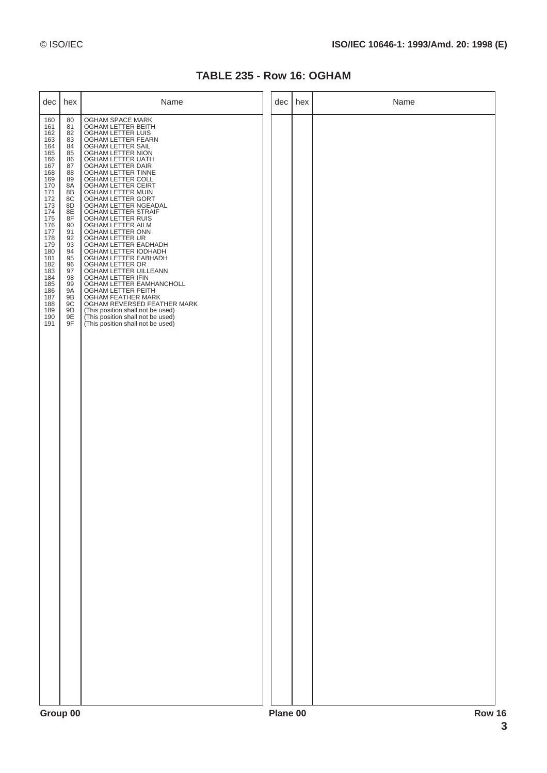### **TABLE 235 - Row 16: OGHAM**

| dec                                                                                                                                                                                                                          | hex                                                                                                                                                                                                 | Name                                                                                                                                                                                                                                                                                                                                                                                                                                                                                                                                                                                                                                                                                                                                                                            | dec | hex    | Name |  |
|------------------------------------------------------------------------------------------------------------------------------------------------------------------------------------------------------------------------------|-----------------------------------------------------------------------------------------------------------------------------------------------------------------------------------------------------|---------------------------------------------------------------------------------------------------------------------------------------------------------------------------------------------------------------------------------------------------------------------------------------------------------------------------------------------------------------------------------------------------------------------------------------------------------------------------------------------------------------------------------------------------------------------------------------------------------------------------------------------------------------------------------------------------------------------------------------------------------------------------------|-----|--------|------|--|
| 160<br>161<br>162<br>163<br>164<br>165<br>166<br>167<br>168<br>169<br>170<br>171<br>172<br>173<br>174<br>175<br>176<br>177<br>178<br>179<br>180<br>181<br>182<br>183<br>184<br>185<br>186<br>187<br>188<br>189<br>190<br>191 | 80<br>81<br>82<br>83<br>84<br>85<br>86<br>87<br>88<br>89<br>8A<br>8B<br>8C<br>8D<br>8E<br>8F<br>90<br>91<br>92<br>93<br>94<br>95<br>96<br>97<br>98<br>99<br><b>9A</b><br>9B<br>9C<br>9D<br>9E<br>9F | OGHAM SPACE MARK<br>OGHAM LETTER BEITH<br>OGHAM LETTER LUIS<br>OGHAM LETTER FEARN<br>OGHAM LETTER SAIL<br>OGHAM LETTER NION<br>OGHAM LETTER UATH<br>OGHAM LETTER DAIR<br>OGHAM LETTER TINNE<br>OGHAM LETTER COLL<br>OGHAM LETTER CEIRT<br>OGHAM LETTER MUIN<br>OGHAM LETTER GORT<br>OGHAM LETTER NGEADAL<br>OGHAM LETTER STRAIF<br>OGHAM LETTER RUIS<br>OGHAM LETTER AILM<br>OGHAM LETTER ONN<br>OGHAM LETTER UR<br>OGHAM LETTER EADHADH<br>OGHAM LETTER IODHADH<br>OGHAM LETTER EABHADH<br>OGHAM LETTER OR<br>OGHAM LETTER UILLEANN<br>OGHAM LETTER IFIN<br>OGHAM LETTER EAMHANCHOLL<br>OGHAM LETTER PEITH<br>OGHAM FEATHER MARK<br>OGHAM REVERSED FEATHER MARK<br>(This position shall not be used)<br>(This position shall not be used)<br>(This position shall not be used) |     |        |      |  |
| Group 00                                                                                                                                                                                                                     |                                                                                                                                                                                                     | Plane 00                                                                                                                                                                                                                                                                                                                                                                                                                                                                                                                                                                                                                                                                                                                                                                        |     | Row 16 |      |  |

**3**